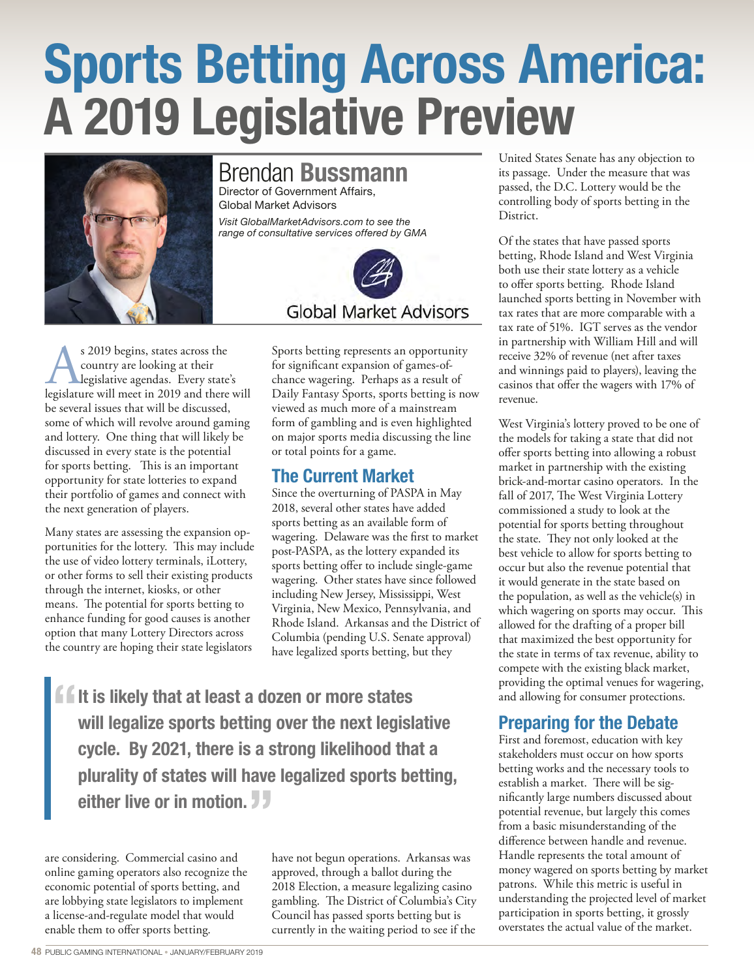# Sports Betting Across America: A 2019 Legislative Preview



## Brendan Bussmann

Director of Government Affairs, Global Market Advisors *Visit GlobalMarketAdvisors.com to see the range of consultative services offered by GMA* 



As 2019 begins, states across the legislature will meet in 2019 and there will country are looking at their legislative agendas. Every state's be several issues that will be discussed, some of which will revolve around gaming and lottery. One thing that will likely be discussed in every state is the potential for sports betting. This is an important opportunity for state lotteries to expand their portfolio of games and connect with the next generation of players.

Many states are assessing the expansion opportunities for the lottery. This may include the use of video lottery terminals, iLottery, or other forms to sell their existing products through the internet, kiosks, or other means. The potential for sports betting to enhance funding for good causes is another option that many Lottery Directors across the country are hoping their state legislators

Sports betting represents an opportunity for significant expansion of games-ofchance wagering. Perhaps as a result of Daily Fantasy Sports, sports betting is now viewed as much more of a mainstream form of gambling and is even highlighted on major sports media discussing the line or total points for a game.

#### The Current Market

Since the overturning of PASPA in May 2018, several other states have added sports betting as an available form of wagering. Delaware was the first to market post-PASPA, as the lottery expanded its sports betting offer to include single-game wagering. Other states have since followed including New Jersey, Mississippi, West Virginia, New Mexico, Pennsylvania, and Rhode Island. Arkansas and the District of Columbia (pending U.S. Senate approval) have legalized sports betting, but they

**fixt** is likely that at least a dozen or more states<br>will legalize sports betting over the next legisla will legalize sports betting over the next legislative cycle. By 2021, there is a strong likelihood that a plurality of states will have legalized sports betting, either live or in motion.

are considering. Commercial casino and online gaming operators also recognize the economic potential of sports betting, and are lobbying state legislators to implement a license-and-regulate model that would enable them to offer sports betting.

have not begun operations. Arkansas was approved, through a ballot during the 2018 Election, a measure legalizing casino gambling. The District of Columbia's City Council has passed sports betting but is currently in the waiting period to see if the

United States Senate has any objection to its passage. Under the measure that was passed, the D.C. Lottery would be the controlling body of sports betting in the District.

Of the states that have passed sports betting, Rhode Island and West Virginia both use their state lottery as a vehicle to offer sports betting. Rhode Island launched sports betting in November with tax rates that are more comparable with a tax rate of 51%. IGT serves as the vendor in partnership with William Hill and will receive 32% of revenue (net after taxes and winnings paid to players), leaving the casinos that offer the wagers with 17% of revenue.

West Virginia's lottery proved to be one of the models for taking a state that did not offer sports betting into allowing a robust market in partnership with the existing brick-and-mortar casino operators. In the fall of 2017, The West Virginia Lottery commissioned a study to look at the potential for sports betting throughout the state. They not only looked at the best vehicle to allow for sports betting to occur but also the revenue potential that it would generate in the state based on the population, as well as the vehicle(s) in which wagering on sports may occur. This allowed for the drafting of a proper bill that maximized the best opportunity for the state in terms of tax revenue, ability to compete with the existing black market, providing the optimal venues for wagering, and allowing for consumer protections.

# Preparing for the Debate

First and foremost, education with key stakeholders must occur on how sports betting works and the necessary tools to establish a market. There will be significantly large numbers discussed about potential revenue, but largely this comes from a basic misunderstanding of the difference between handle and revenue. Handle represents the total amount of money wagered on sports betting by market patrons. While this metric is useful in understanding the projected level of market participation in sports betting, it grossly overstates the actual value of the market.